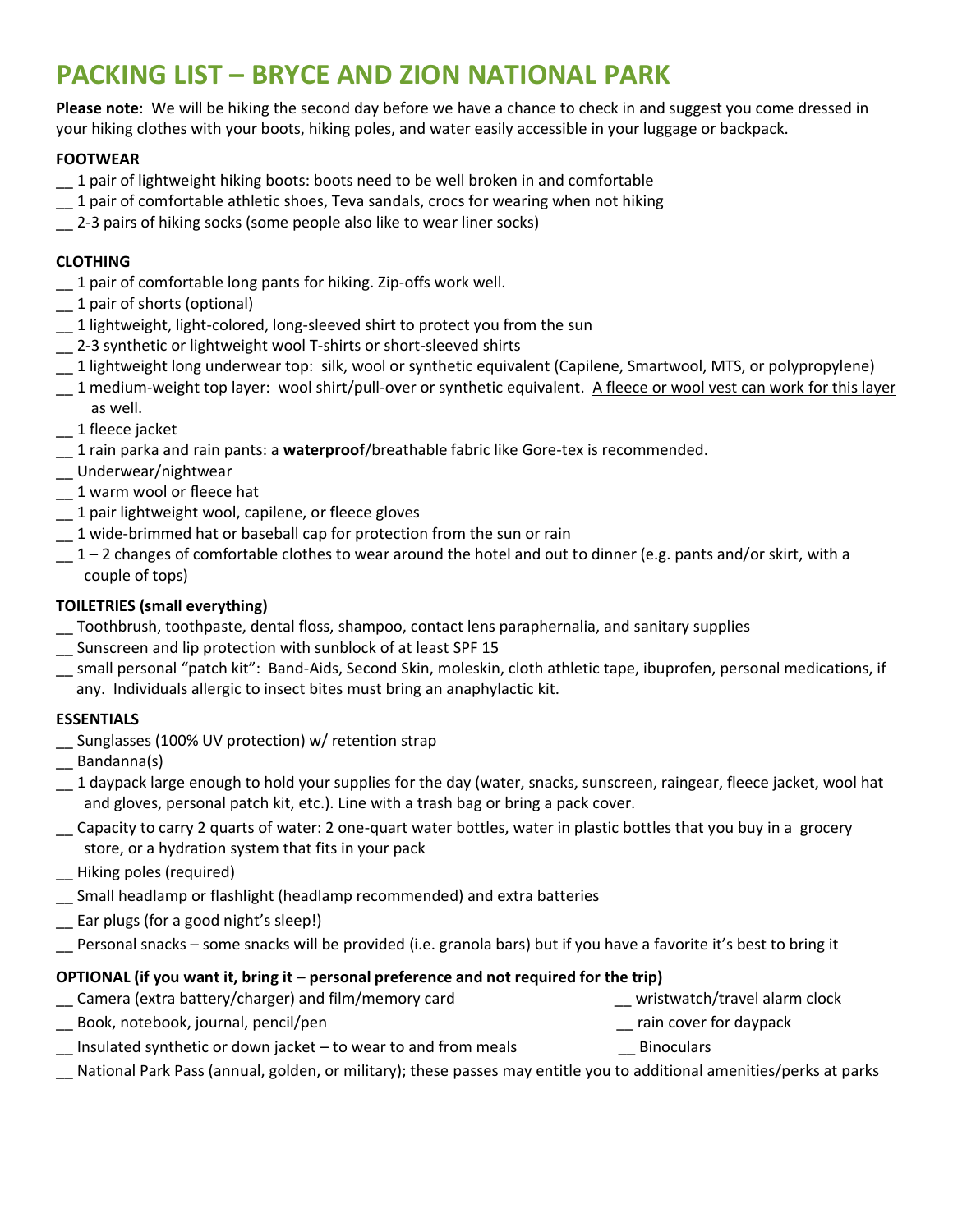# **PACKING LIST – BRYCE AND ZION NATIONAL PARK**

**Please note**: We will be hiking the second day before we have a chance to check in and suggest you come dressed in your hiking clothes with your boots, hiking poles, and water easily accessible in your luggage or backpack.

#### **FOOTWEAR**

- \_\_ 1 pair of lightweight hiking boots: boots need to be well broken in and comfortable
- \_\_ 1 pair of comfortable athletic shoes, Teva sandals, crocs for wearing when not hiking
- \_\_ 2-3 pairs of hiking socks (some people also like to wear liner socks)

#### **CLOTHING**

- \_\_ 1 pair of comfortable long pants for hiking. Zip-offs work well.
- \_\_ 1 pair of shorts (optional)
- \_\_ 1 lightweight, light-colored, long-sleeved shirt to protect you from the sun
- \_\_ 2-3 synthetic or lightweight wool T-shirts or short-sleeved shirts
- \_\_ 1 lightweight long underwear top: silk, wool or synthetic equivalent (Capilene, Smartwool, MTS, or polypropylene)
- 1 medium-weight top layer: wool shirt/pull-over or synthetic equivalent. A fleece or wool vest can work for this layer as well.
- \_\_ 1 fleece jacket
- \_\_ 1 rain parka and rain pants: a **waterproof**/breathable fabric like Gore-tex is recommended.
- \_\_ Underwear/nightwear
- \_\_ 1 warm wool or fleece hat
- \_\_ 1 pair lightweight wool, capilene, or fleece gloves
- \_\_ 1 wide-brimmed hat or baseball cap for protection from the sun or rain
- $-1$  2 changes of comfortable clothes to wear around the hotel and out to dinner (e.g. pants and/or skirt, with a couple of tops)

#### **TOILETRIES (small everything)**

- \_\_ Toothbrush, toothpaste, dental floss, shampoo, contact lens paraphernalia, and sanitary supplies
- \_\_ Sunscreen and lip protection with sunblock of at least SPF 15
- \_\_ small personal "patch kit": Band-Aids, Second Skin, moleskin, cloth athletic tape, ibuprofen, personal medications, if any. Individuals allergic to insect bites must bring an anaphylactic kit.

#### **ESSENTIALS**

- \_\_ Sunglasses (100% UV protection) w/ retention strap
- \_\_ Bandanna(s)
- $-1$  daypack large enough to hold your supplies for the day (water, snacks, sunscreen, raingear, fleece jacket, wool hat and gloves, personal patch kit, etc.). Line with a trash bag or bring a pack cover.
- \_\_ Capacity to carry 2 quarts of water: 2 one-quart water bottles, water in plastic bottles that you buy in a grocery store, or a hydration system that fits in your pack
- \_\_ Hiking poles (required)
- \_\_ Small headlamp or flashlight (headlamp recommended) and extra batteries
- \_\_ Ear plugs (for a good night's sleep!)
- Personal snacks some snacks will be provided (i.e. granola bars) but if you have a favorite it's best to bring it

### **OPTIONAL (if you want it, bring it – personal preference and not required for the trip)**

| Camera (extra battery/charger) and film/memory card            | wristwatch/travel alarm clock |
|----------------------------------------------------------------|-------------------------------|
| Book, notebook, journal, pencil/pen                            | rain cover for daypack        |
| Insulated synthetic or down jacket - to wear to and from meals | <b>Binoculars</b>             |
|                                                                |                               |

\_\_ National Park Pass (annual, golden, or military); these passes may entitle you to additional amenities/perks at parks